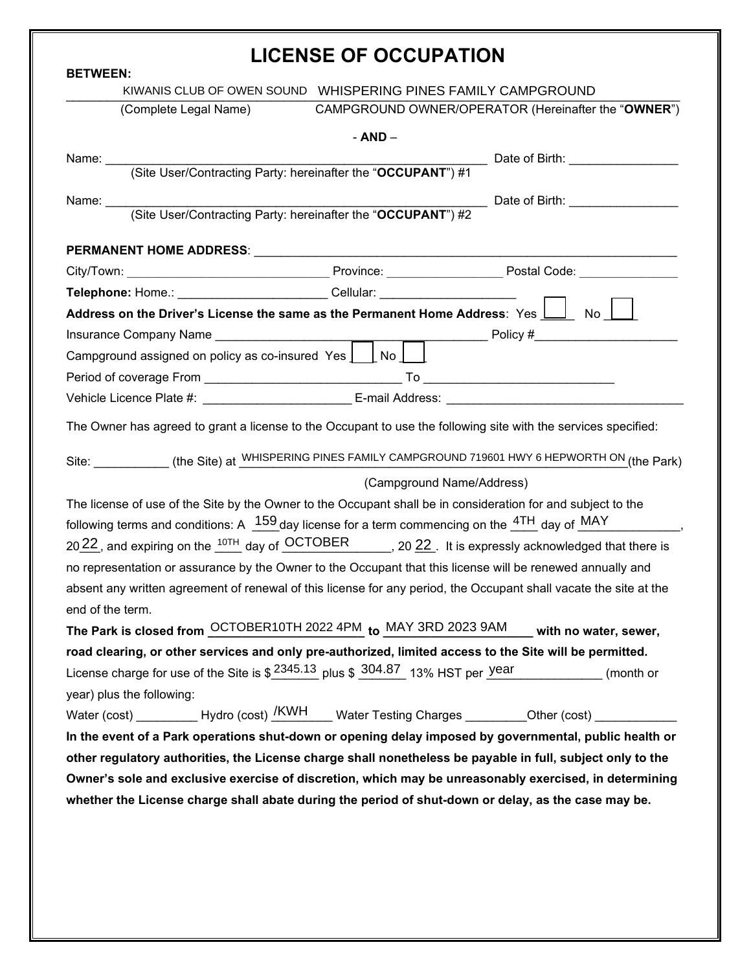| <b>LICENSE OF OCCUPATION</b>                                                                                                                                                                                  |  |                           |                                                                                                                                                                                                                                       |  |  |  |
|---------------------------------------------------------------------------------------------------------------------------------------------------------------------------------------------------------------|--|---------------------------|---------------------------------------------------------------------------------------------------------------------------------------------------------------------------------------------------------------------------------------|--|--|--|
| <b>BETWEEN:</b><br>KIWANIS CLUB OF OWEN SOUND  WHISPERING PINES FAMILY CAMPGROUND                                                                                                                             |  |                           |                                                                                                                                                                                                                                       |  |  |  |
| (Complete Legal Name)                                                                                                                                                                                         |  |                           | CAMPGROUND OWNER/OPERATOR (Hereinafter the "OWNER")                                                                                                                                                                                   |  |  |  |
|                                                                                                                                                                                                               |  | $- AND -$                 |                                                                                                                                                                                                                                       |  |  |  |
|                                                                                                                                                                                                               |  |                           |                                                                                                                                                                                                                                       |  |  |  |
|                                                                                                                                                                                                               |  |                           |                                                                                                                                                                                                                                       |  |  |  |
|                                                                                                                                                                                                               |  |                           |                                                                                                                                                                                                                                       |  |  |  |
|                                                                                                                                                                                                               |  |                           |                                                                                                                                                                                                                                       |  |  |  |
|                                                                                                                                                                                                               |  |                           |                                                                                                                                                                                                                                       |  |  |  |
|                                                                                                                                                                                                               |  |                           |                                                                                                                                                                                                                                       |  |  |  |
| Telephone: Home.: _________________________Cellular: ___________________________                                                                                                                              |  |                           |                                                                                                                                                                                                                                       |  |  |  |
|                                                                                                                                                                                                               |  |                           | Address on the Driver's License the same as the Permanent Home Address: Yes $\bigsqcup_{\hspace{5mm} \rule{3mm}{3mm} \hspace{3mm} }$ No $\bigsqcup_{\hspace{5mm} \rule{3mm}{3mm} }$                                                   |  |  |  |
|                                                                                                                                                                                                               |  |                           |                                                                                                                                                                                                                                       |  |  |  |
| Campground assigned on policy as co-insured Yes $\boxed{\phantom{a}}$ No $\boxed{\phantom{a}}$                                                                                                                |  |                           |                                                                                                                                                                                                                                       |  |  |  |
|                                                                                                                                                                                                               |  |                           |                                                                                                                                                                                                                                       |  |  |  |
|                                                                                                                                                                                                               |  |                           | Vehicle Licence Plate #: ___________________________E-mail Address: ________________________________                                                                                                                                  |  |  |  |
|                                                                                                                                                                                                               |  |                           | The Owner has agreed to grant a license to the Occupant to use the following site with the services specified:                                                                                                                        |  |  |  |
|                                                                                                                                                                                                               |  |                           |                                                                                                                                                                                                                                       |  |  |  |
|                                                                                                                                                                                                               |  |                           | Site: ____________(the Site) at WHISPERING PINES FAMILY CAMPGROUND 719601 HWY 6 HEPWORTH ON (the Park)                                                                                                                                |  |  |  |
|                                                                                                                                                                                                               |  | (Campground Name/Address) |                                                                                                                                                                                                                                       |  |  |  |
|                                                                                                                                                                                                               |  |                           | The license of use of the Site by the Owner to the Occupant shall be in consideration for and subject to the<br>following terms and conditions: A $159$ day license for a term commencing on the $4TH$ day of $\overline{\text{MAY}}$ |  |  |  |
|                                                                                                                                                                                                               |  |                           | 20 $\frac{22}{1}$ , and expiring on the $\frac{10TH}{10}$ day of $\frac{OCTOBER}{100}$ , 20 $\frac{22}{10}$ . It is expressly acknowledged that there is                                                                              |  |  |  |
|                                                                                                                                                                                                               |  |                           | no representation or assurance by the Owner to the Occupant that this license will be renewed annually and                                                                                                                            |  |  |  |
|                                                                                                                                                                                                               |  |                           | absent any written agreement of renewal of this license for any period, the Occupant shall vacate the site at the                                                                                                                     |  |  |  |
| end of the term.                                                                                                                                                                                              |  |                           |                                                                                                                                                                                                                                       |  |  |  |
|                                                                                                                                                                                                               |  |                           | The Park is closed from <b>OCTOBER10TH 2022 4PM</b> to MAY 3RD 2023 9AM with no water, sewer,                                                                                                                                         |  |  |  |
|                                                                                                                                                                                                               |  |                           | road clearing, or other services and only pre-authorized, limited access to the Site will be permitted.                                                                                                                               |  |  |  |
|                                                                                                                                                                                                               |  |                           | License charge for use of the Site is $$ \frac{2345.13}{27}$ plus $$ \frac{304.87}{27}$ 13% HST per $$ \frac{year}{27}$ (month or                                                                                                     |  |  |  |
| year) plus the following:                                                                                                                                                                                     |  |                           |                                                                                                                                                                                                                                       |  |  |  |
|                                                                                                                                                                                                               |  |                           | Water (cost) __________ Hydro (cost) <u>/KWH</u> ___ Water Testing Charges ________Other (cost) ____________                                                                                                                          |  |  |  |
|                                                                                                                                                                                                               |  |                           | In the event of a Park operations shut-down or opening delay imposed by governmental, public health or                                                                                                                                |  |  |  |
|                                                                                                                                                                                                               |  |                           | other regulatory authorities, the License charge shall nonetheless be payable in full, subject only to the                                                                                                                            |  |  |  |
| Owner's sole and exclusive exercise of discretion, which may be unreasonably exercised, in determining<br>whether the License charge shall abate during the period of shut-down or delay, as the case may be. |  |                           |                                                                                                                                                                                                                                       |  |  |  |
|                                                                                                                                                                                                               |  |                           |                                                                                                                                                                                                                                       |  |  |  |
|                                                                                                                                                                                                               |  |                           |                                                                                                                                                                                                                                       |  |  |  |
|                                                                                                                                                                                                               |  |                           |                                                                                                                                                                                                                                       |  |  |  |
|                                                                                                                                                                                                               |  |                           |                                                                                                                                                                                                                                       |  |  |  |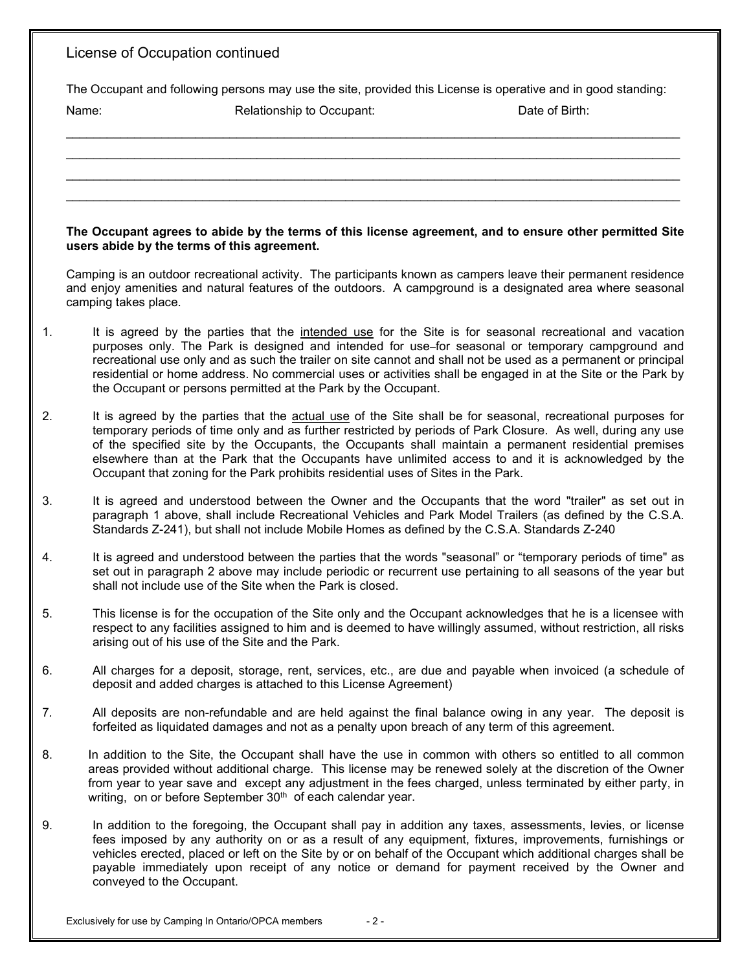|    | License of Occupation continued                                                                                                                                                                                                                                                                                                                                                                                                                                                                                                     |
|----|-------------------------------------------------------------------------------------------------------------------------------------------------------------------------------------------------------------------------------------------------------------------------------------------------------------------------------------------------------------------------------------------------------------------------------------------------------------------------------------------------------------------------------------|
|    | The Occupant and following persons may use the site, provided this License is operative and in good standing:<br>Name:<br>Date of Birth:<br>Relationship to Occupant:                                                                                                                                                                                                                                                                                                                                                               |
|    |                                                                                                                                                                                                                                                                                                                                                                                                                                                                                                                                     |
|    | The Occupant agrees to abide by the terms of this license agreement, and to ensure other permitted Site<br>users abide by the terms of this agreement.                                                                                                                                                                                                                                                                                                                                                                              |
|    | Camping is an outdoor recreational activity. The participants known as campers leave their permanent residence<br>and enjoy amenities and natural features of the outdoors. A campground is a designated area where seasonal<br>camping takes place.                                                                                                                                                                                                                                                                                |
| 1. | It is agreed by the parties that the intended use for the Site is for seasonal recreational and vacation<br>purposes only. The Park is designed and intended for use-for seasonal or temporary campground and<br>recreational use only and as such the trailer on site cannot and shall not be used as a permanent or principal<br>residential or home address. No commercial uses or activities shall be engaged in at the Site or the Park by<br>the Occupant or persons permitted at the Park by the Occupant.                   |
| 2. | It is agreed by the parties that the actual use of the Site shall be for seasonal, recreational purposes for<br>temporary periods of time only and as further restricted by periods of Park Closure. As well, during any use<br>of the specified site by the Occupants, the Occupants shall maintain a permanent residential premises<br>elsewhere than at the Park that the Occupants have unlimited access to and it is acknowledged by the<br>Occupant that zoning for the Park prohibits residential uses of Sites in the Park. |
| 3. | It is agreed and understood between the Owner and the Occupants that the word "trailer" as set out in<br>paragraph 1 above, shall include Recreational Vehicles and Park Model Trailers (as defined by the C.S.A.<br>Standards Z-241), but shall not include Mobile Homes as defined by the C.S.A. Standards Z-240                                                                                                                                                                                                                  |
| 4. | It is agreed and understood between the parties that the words "seasonal" or "temporary periods of time" as<br>set out in paragraph 2 above may include periodic or recurrent use pertaining to all seasons of the year but<br>shall not include use of the Site when the Park is closed.                                                                                                                                                                                                                                           |
| 5. | This license is for the occupation of the Site only and the Occupant acknowledges that he is a licensee with<br>respect to any facilities assigned to him and is deemed to have willingly assumed, without restriction, all risks<br>arising out of his use of the Site and the Park.                                                                                                                                                                                                                                               |
| 6. | All charges for a deposit, storage, rent, services, etc., are due and payable when invoiced (a schedule of<br>deposit and added charges is attached to this License Agreement)                                                                                                                                                                                                                                                                                                                                                      |
| 7. | All deposits are non-refundable and are held against the final balance owing in any year. The deposit is<br>forfeited as liquidated damages and not as a penalty upon breach of any term of this agreement.                                                                                                                                                                                                                                                                                                                         |
| 8. | In addition to the Site, the Occupant shall have the use in common with others so entitled to all common<br>areas provided without additional charge. This license may be renewed solely at the discretion of the Owner<br>from year to year save and except any adjustment in the fees charged, unless terminated by either party, in<br>writing, on or before September 30 <sup>th</sup> of each calendar year.                                                                                                                   |
| 9. | In addition to the foregoing, the Occupant shall pay in addition any taxes, assessments, levies, or license<br>fees imposed by any authority on or as a result of any equipment, fixtures, improvements, furnishings or<br>vehicles erected, placed or left on the Site by or on behalf of the Occupant which additional charges shall be<br>payable immediately upon receipt of any notice or demand for payment received by the Owner and<br>conveyed to the Occupant.                                                            |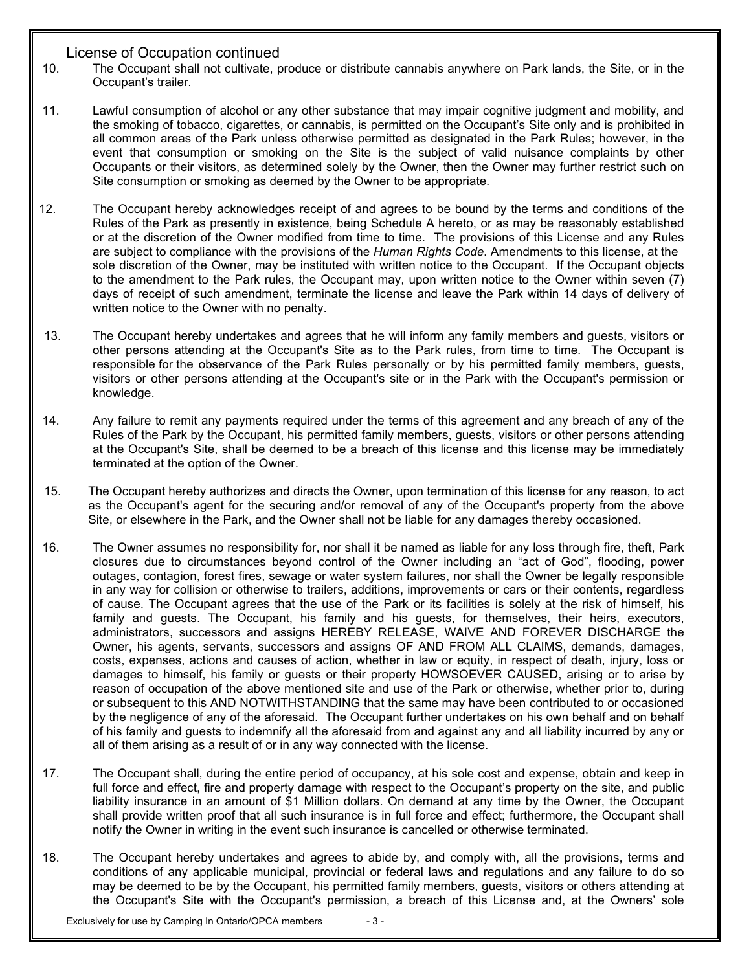## License of Occupation continued

- 10. The Occupant shall not cultivate, produce or distribute cannabis anywhere on Park lands, the Site, or in the Occupant's trailer.
- 11. Lawful consumption of alcohol or any other substance that may impair cognitive judgment and mobility, and the smoking of tobacco, cigarettes, or cannabis, is permitted on the Occupant's Site only and is prohibited in all common areas of the Park unless otherwise permitted as designated in the Park Rules; however, in the event that consumption or smoking on the Site is the subject of valid nuisance complaints by other Occupants or their visitors, as determined solely by the Owner, then the Owner may further restrict such on Site consumption or smoking as deemed by the Owner to be appropriate.
- 12. The Occupant hereby acknowledges receipt of and agrees to be bound by the terms and conditions of the Rules of the Park as presently in existence, being Schedule A hereto, or as may be reasonably established or at the discretion of the Owner modified from time to time. The provisions of this License and any Rules are subject to compliance with the provisions of the *Human Rights Code*. Amendments to this license, at the sole discretion of the Owner, may be instituted with written notice to the Occupant. If the Occupant objects to the amendment to the Park rules, the Occupant may, upon written notice to the Owner within seven (7) days of receipt of such amendment, terminate the license and leave the Park within 14 days of delivery of written notice to the Owner with no penalty.
- 13. The Occupant hereby undertakes and agrees that he will inform any family members and guests, visitors or other persons attending at the Occupant's Site as to the Park rules, from time to time. The Occupant is responsible for the observance of the Park Rules personally or by his permitted family members, guests, visitors or other persons attending at the Occupant's site or in the Park with the Occupant's permission or knowledge.
- 14. Any failure to remit any payments required under the terms of this agreement and any breach of any of the Rules of the Park by the Occupant, his permitted family members, guests, visitors or other persons attending at the Occupant's Site, shall be deemed to be a breach of this license and this license may be immediately terminated at the option of the Owner.
- 15. The Occupant hereby authorizes and directs the Owner, upon termination of this license for any reason, to act as the Occupant's agent for the securing and/or removal of any of the Occupant's property from the above Site, or elsewhere in the Park, and the Owner shall not be liable for any damages thereby occasioned.
- 16. The Owner assumes no responsibility for, nor shall it be named as liable for any loss through fire, theft, Park closures due to circumstances beyond control of the Owner including an "act of God", flooding, power outages, contagion, forest fires, sewage or water system failures, nor shall the Owner be legally responsible in any way for collision or otherwise to trailers, additions, improvements or cars or their contents, regardless of cause. The Occupant agrees that the use of the Park or its facilities is solely at the risk of himself, his family and guests. The Occupant, his family and his guests, for themselves, their heirs, executors, administrators, successors and assigns HEREBY RELEASE, WAIVE AND FOREVER DISCHARGE the Owner, his agents, servants, successors and assigns OF AND FROM ALL CLAIMS, demands, damages, costs, expenses, actions and causes of action, whether in law or equity, in respect of death, injury, loss or damages to himself, his family or guests or their property HOWSOEVER CAUSED, arising or to arise by reason of occupation of the above mentioned site and use of the Park or otherwise, whether prior to, during or subsequent to this AND NOTWITHSTANDING that the same may have been contributed to or occasioned by the negligence of any of the aforesaid. The Occupant further undertakes on his own behalf and on behalf of his family and guests to indemnify all the aforesaid from and against any and all liability incurred by any or all of them arising as a result of or in any way connected with the license.
- 17. The Occupant shall, during the entire period of occupancy, at his sole cost and expense, obtain and keep in full force and effect, fire and property damage with respect to the Occupant's property on the site, and public liability insurance in an amount of \$1 Million dollars. On demand at any time by the Owner, the Occupant shall provide written proof that all such insurance is in full force and effect; furthermore, the Occupant shall notify the Owner in writing in the event such insurance is cancelled or otherwise terminated.
- 18. The Occupant hereby undertakes and agrees to abide by, and comply with, all the provisions, terms and conditions of any applicable municipal, provincial or federal laws and regulations and any failure to do so may be deemed to be by the Occupant, his permitted family members, guests, visitors or others attending at the Occupant's Site with the Occupant's permission, a breach of this License and, at the Owners' sole

Exclusively for use by Camping In Ontario/OPCA members - 3 -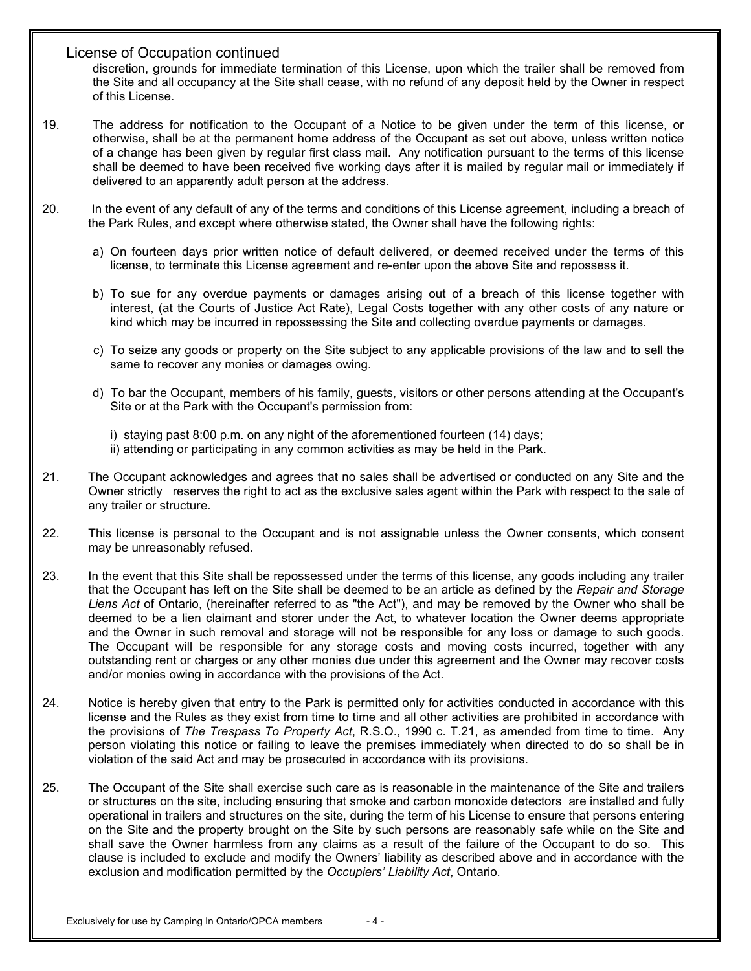## License of Occupation continued

discretion, grounds for immediate termination of this License, upon which the trailer shall be removed from the Site and all occupancy at the Site shall cease, with no refund of any deposit held by the Owner in respect of this License.

- 19. The address for notification to the Occupant of a Notice to be given under the term of this license, or otherwise, shall be at the permanent home address of the Occupant as set out above, unless written notice of a change has been given by regular first class mail. Any notification pursuant to the terms of this license shall be deemed to have been received five working days after it is mailed by regular mail or immediately if delivered to an apparently adult person at the address.
- 20. In the event of any default of any of the terms and conditions of this License agreement, including a breach of the Park Rules, and except where otherwise stated, the Owner shall have the following rights:
	- a) On fourteen days prior written notice of default delivered, or deemed received under the terms of this license, to terminate this License agreement and re-enter upon the above Site and repossess it.
	- b) To sue for any overdue payments or damages arising out of a breach of this license together with interest, (at the Courts of Justice Act Rate), Legal Costs together with any other costs of any nature or kind which may be incurred in repossessing the Site and collecting overdue payments or damages.
	- c) To seize any goods or property on the Site subject to any applicable provisions of the law and to sell the same to recover any monies or damages owing.
	- d) To bar the Occupant, members of his family, guests, visitors or other persons attending at the Occupant's Site or at the Park with the Occupant's permission from:
		- i) staying past 8:00 p.m. on any night of the aforementioned fourteen (14) days;
		- ii) attending or participating in any common activities as may be held in the Park.
- 21. The Occupant acknowledges and agrees that no sales shall be advertised or conducted on any Site and the Owner strictly reserves the right to act as the exclusive sales agent within the Park with respect to the sale of any trailer or structure.
- 22. This license is personal to the Occupant and is not assignable unless the Owner consents, which consent may be unreasonably refused.
- 23. In the event that this Site shall be repossessed under the terms of this license, any goods including any trailer that the Occupant has left on the Site shall be deemed to be an article as defined by the *Repair and Storage Liens Act* of Ontario, (hereinafter referred to as "the Act"), and may be removed by the Owner who shall be deemed to be a lien claimant and storer under the Act, to whatever location the Owner deems appropriate and the Owner in such removal and storage will not be responsible for any loss or damage to such goods. The Occupant will be responsible for any storage costs and moving costs incurred, together with any outstanding rent or charges or any other monies due under this agreement and the Owner may recover costs and/or monies owing in accordance with the provisions of the Act.
- 24. Notice is hereby given that entry to the Park is permitted only for activities conducted in accordance with this license and the Rules as they exist from time to time and all other activities are prohibited in accordance with the provisions of *The Trespass To Property Act*, R.S.O., 1990 c. T.21, as amended from time to time. Any person violating this notice or failing to leave the premises immediately when directed to do so shall be in violation of the said Act and may be prosecuted in accordance with its provisions.
- 25. The Occupant of the Site shall exercise such care as is reasonable in the maintenance of the Site and trailers or structures on the site, including ensuring that smoke and carbon monoxide detectors are installed and fully operational in trailers and structures on the site, during the term of his License to ensure that persons entering on the Site and the property brought on the Site by such persons are reasonably safe while on the Site and shall save the Owner harmless from any claims as a result of the failure of the Occupant to do so. This clause is included to exclude and modify the Owners' liability as described above and in accordance with the exclusion and modification permitted by the *Occupiers' Liability Act*, Ontario.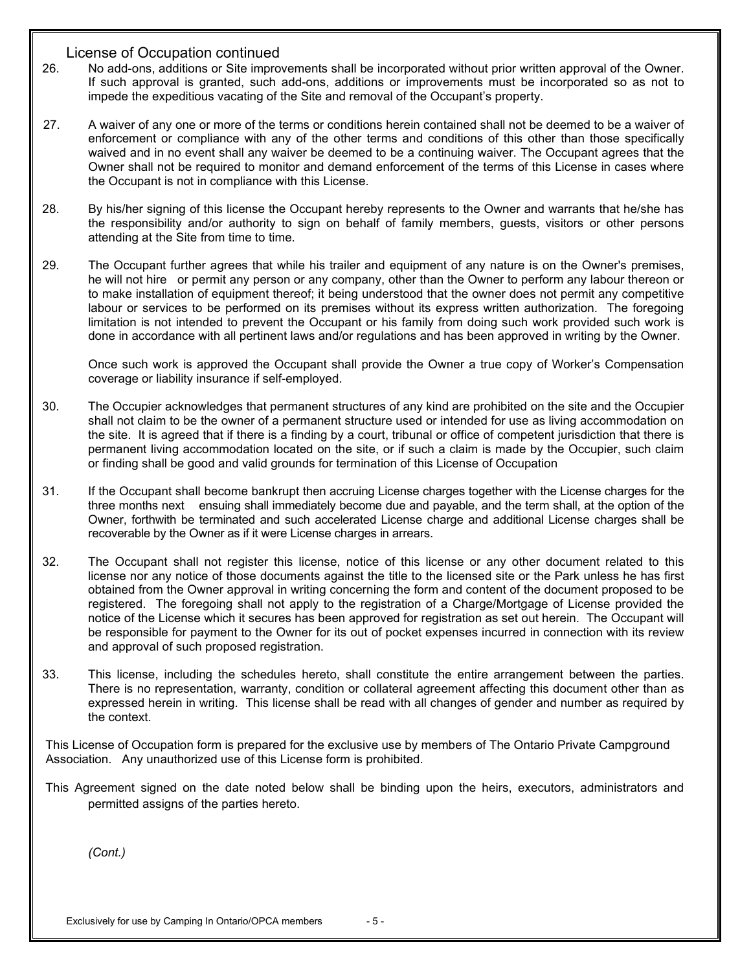## License of Occupation continued

- 26. No add-ons, additions or Site improvements shall be incorporated without prior written approval of the Owner. If such approval is granted, such add-ons, additions or improvements must be incorporated so as not to impede the expeditious vacating of the Site and removal of the Occupant's property.
- 27. A waiver of any one or more of the terms or conditions herein contained shall not be deemed to be a waiver of enforcement or compliance with any of the other terms and conditions of this other than those specifically waived and in no event shall any waiver be deemed to be a continuing waiver. The Occupant agrees that the Owner shall not be required to monitor and demand enforcement of the terms of this License in cases where the Occupant is not in compliance with this License.
- 28. By his/her signing of this license the Occupant hereby represents to the Owner and warrants that he/she has the responsibility and/or authority to sign on behalf of family members, guests, visitors or other persons attending at the Site from time to time.
- 29. The Occupant further agrees that while his trailer and equipment of any nature is on the Owner's premises, he will not hire or permit any person or any company, other than the Owner to perform any labour thereon or to make installation of equipment thereof; it being understood that the owner does not permit any competitive labour or services to be performed on its premises without its express written authorization. The foregoing limitation is not intended to prevent the Occupant or his family from doing such work provided such work is done in accordance with all pertinent laws and/or regulations and has been approved in writing by the Owner.

Once such work is approved the Occupant shall provide the Owner a true copy of Worker's Compensation coverage or liability insurance if self-employed.

- 30. The Occupier acknowledges that permanent structures of any kind are prohibited on the site and the Occupier shall not claim to be the owner of a permanent structure used or intended for use as living accommodation on the site. It is agreed that if there is a finding by a court, tribunal or office of competent jurisdiction that there is permanent living accommodation located on the site, or if such a claim is made by the Occupier, such claim or finding shall be good and valid grounds for termination of this License of Occupation
- 31. If the Occupant shall become bankrupt then accruing License charges together with the License charges for the three months next ensuing shall immediately become due and payable, and the term shall, at the option of the Owner, forthwith be terminated and such accelerated License charge and additional License charges shall be recoverable by the Owner as if it were License charges in arrears.
- 32. The Occupant shall not register this license, notice of this license or any other document related to this license nor any notice of those documents against the title to the licensed site or the Park unless he has first obtained from the Owner approval in writing concerning the form and content of the document proposed to be registered. The foregoing shall not apply to the registration of a Charge/Mortgage of License provided the notice of the License which it secures has been approved for registration as set out herein. The Occupant will be responsible for payment to the Owner for its out of pocket expenses incurred in connection with its review and approval of such proposed registration.
- 33. This license, including the schedules hereto, shall constitute the entire arrangement between the parties. There is no representation, warranty, condition or collateral agreement affecting this document other than as expressed herein in writing. This license shall be read with all changes of gender and number as required by the context.

 This License of Occupation form is prepared for the exclusive use by members of The Ontario Private Campground Association. Any unauthorized use of this License form is prohibited.

 This Agreement signed on the date noted below shall be binding upon the heirs, executors, administrators and permitted assigns of the parties hereto.

*(Cont.)*